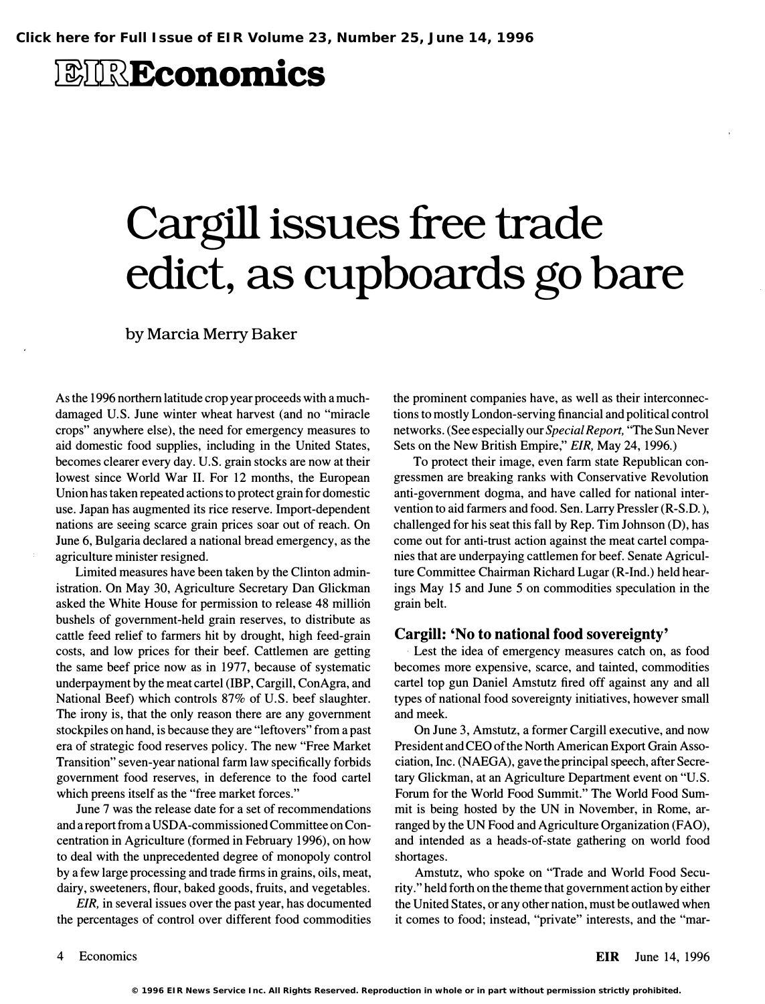# *BIREconomics*

# Cargill issues free trade edict, as cupboards go bare

by Marcia Merry Baker

As the 1996 northern latitude crop year proceeds with a muchdamaged U.S. June winter wheat harvest (and no "miracle crops" anywhere else), the need for emergency measures to aid domestic food supplies, including in the United States, becomes clearer every day. U.S. grain stocks are now at their lowest since World War II. For 12 months, the European Union has taken repeated actions to protect grain for domestic use. Japan has augmented its rice reserve. Import-dependent nations are seeing scarce grain prices soar out of reach. On June 6, Bulgaria declared a national bread emergency, as the agriculture minister resigned.

Limited measures have been taken by the Clinton administration. On May 30, Agriculture Secretary Dan Glickman asked the White House for permission to release 48 million bushels of government-held grain reserves, to distribute as cattle feed relief to farmers hit by drought, high feed-grain costs, and low prices for their beef. Cattlemen are getting the same beef price now as in 1977, because of systematic underpayment by the meat cartel (IBP, Cargill, ConAgra, and National Beef) which controls 87% of U.S. beef slaughter. The irony is, that the only reason there are any government stockpiles on hand, is because they are "leftovers" from a past era of strategic food reserves policy. The new "Free Market Transition" seven-year national farm law specifically forbids government food reserves, in deference to the food cartel which preens itself as the "free market forces."

June 7 was the release date for a set of recommendations and a report from a USDA-commissioned Committee on Concentration in Agriculture (formed in February 1996), on how to deal with the unprecedented degree of monopoly control by a few large processing and trade firms in grains, oils, meat, dairy, sweeteners, flour, baked goods, fruits, and vegetables.

EIR, in several issues over the past year, has documented the percentages of control over different food commodities

the prominent companies have, as well as their interconnections to mostly London-serving financial and political control networks. ( See especially our Special Report, "The Sun Never Sets on the New British Empire," EIR, May 24, 1996.)

To protect their image, even farm state Republican congressmen are breaking ranks with Conservative Revolution anti-government dogma, and have called for national intervention to aid farmers and food. Sen. Larry Pressler (R-S.D.), challenged for his seat this fall by Rep. Tim Johnson (D), has come out for anti-trust action against the meat cartel companies that are underpaying cattlemen for beef. Senate Agriculture Committee Chairman Richard Lugar (R-Ind.) held hearings May 15 and June 5 on commodities speculation in the grain belt.

#### Cargill: 'No to national food sovereignty'

Lest the idea of emergency measures catch on, as food becomes more expensive, scarce, and tainted, commodities cartel top gun Daniel Amstutz fired off against any and all types of national food sovereignty initiatives, however small and meek.

On June 3, Amstutz, a former Cargill executive, and now President and CEO of the North American Export Grain Association, Inc. (NAEGA), gave the principal speech, after Secretary Glickman, at an Agriculture Department event on "U.S. Forum for the World Food Summit." The World Food Summit is being hosted by the UN in November, in Rome, arranged by the UN Food and Agriculture Organization (FAO), and intended as a heads-of-state gathering on world food shortages.

Amstutz, who spoke on "Trade and World Food Security." held forth on the theme that government action by either the United States, or any other nation, must be outlawed when it comes to food; instead, "private" interests, and the "mar-